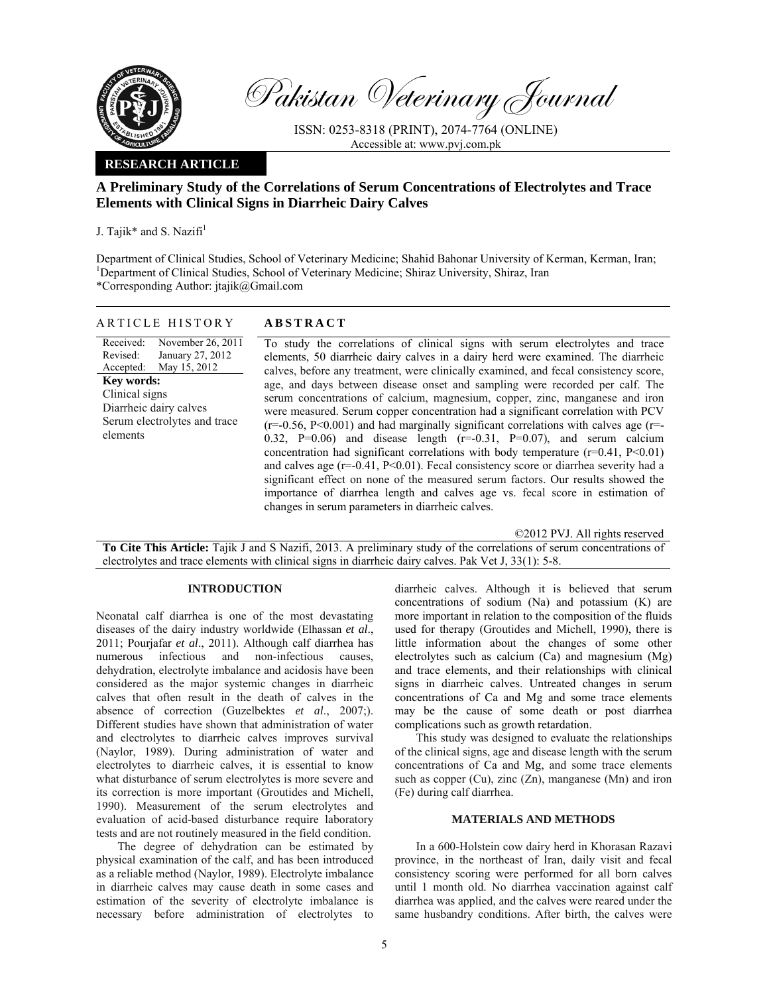

Pakistan Veterinary Journal

ISSN: 0253-8318 (PRINT), 2074-7764 (ONLINE) Accessible at: www.pvj.com.pk

## **RESEARCH ARTICLE**

# **A Preliminary Study of the Correlations of Serum Concentrations of Electrolytes and Trace Elements with Clinical Signs in Diarrheic Dairy Calves**

J. Tajik\* and S. Nazifi $<sup>1</sup>$ </sup>

Department of Clinical Studies, School of Veterinary Medicine; Shahid Bahonar University of Kerman, Kerman, Iran; <sup>1</sup>Department of Clinical Studies, School of Veterinary Medicine; Shiraz University, Shiraz, Iran \*Corresponding Author: jtajik@Gmail.com

| ARTICLE HISTORY                                                                                                                                                                                | <b>ABSTRACT</b>                                                                                                                                                                                                                                                                                                                                                                                                                                                                                                                                                                                                                                                                                                                                                                                                                                                                                                                                                                                                                                                                                           |
|------------------------------------------------------------------------------------------------------------------------------------------------------------------------------------------------|-----------------------------------------------------------------------------------------------------------------------------------------------------------------------------------------------------------------------------------------------------------------------------------------------------------------------------------------------------------------------------------------------------------------------------------------------------------------------------------------------------------------------------------------------------------------------------------------------------------------------------------------------------------------------------------------------------------------------------------------------------------------------------------------------------------------------------------------------------------------------------------------------------------------------------------------------------------------------------------------------------------------------------------------------------------------------------------------------------------|
| Received:<br>November 26, 2011<br>January 27, 2012<br>Revised:<br>Accepted: May 15, 2012<br>Key words:<br>Clinical signs<br>Diarrheic dairy calves<br>Serum electrolytes and trace<br>elements | To study the correlations of clinical signs with serum electrolytes and trace<br>elements, 50 diarrheic dairy calves in a dairy herd were examined. The diarrheic<br>calves, before any treatment, were clinically examined, and fecal consistency score,<br>age, and days between disease onset and sampling were recorded per calf. The<br>serum concentrations of calcium, magnesium, copper, zinc, manganese and iron<br>were measured. Serum copper concentration had a significant correlation with PCV<br>$(r=0.56, P<0.001)$ and had marginally significant correlations with calves age $(r=0.56, P<0.001)$<br>0.32, P=0.06) and disease length $(r=0.31, P=0.07)$ , and serum calcium<br>concentration had significant correlations with body temperature $(r=0.41, P<0.01)$<br>and calves age $(r=0.41, P<0.01)$ . Fecal consistency score or diarrhea severity had a<br>significant effect on none of the measured serum factors. Our results showed the<br>importance of diarrhea length and calves age vs. fecal score in estimation of<br>changes in serum parameters in diarrheic calves. |

©2012 PVJ. All rights reserved

**To Cite This Article:** Tajik J and S Nazifi, 2013. A preliminary study of the correlations of serum concentrations of electrolytes and trace elements with clinical signs in diarrheic dairy calves. Pak Vet J, 33(1): 5-8.

### **INTRODUCTION**

Neonatal calf diarrhea is one of the most devastating diseases of the dairy industry worldwide (Elhassan *et al*., 2011; Pourjafar *et al*., 2011). Although calf diarrhea has numerous infectious and non-infectious causes, dehydration, electrolyte imbalance and acidosis have been considered as the major systemic changes in diarrheic calves that often result in the death of calves in the absence of correction (Guzelbektes *et al*., 2007;). Different studies have shown that administration of water and electrolytes to diarrheic calves improves survival (Naylor, 1989). During administration of water and electrolytes to diarrheic calves, it is essential to know what disturbance of serum electrolytes is more severe and its correction is more important (Groutides and Michell, 1990). Measurement of the serum electrolytes and evaluation of acid-based disturbance require laboratory tests and are not routinely measured in the field condition.

The degree of dehydration can be estimated by physical examination of the calf, and has been introduced as a reliable method (Naylor, 1989). Electrolyte imbalance in diarrheic calves may cause death in some cases and estimation of the severity of electrolyte imbalance is necessary before administration of electrolytes to

diarrheic calves. Although it is believed that serum concentrations of sodium (Na) and potassium (K) are more important in relation to the composition of the fluids used for therapy (Groutides and Michell, 1990), there is little information about the changes of some other electrolytes such as calcium (Ca) and magnesium (Mg) and trace elements, and their relationships with clinical signs in diarrheic calves. Untreated changes in serum concentrations of Ca and Mg and some trace elements may be the cause of some death or post diarrhea complications such as growth retardation.

This study was designed to evaluate the relationships of the clinical signs, age and disease length with the serum concentrations of Ca and Mg, and some trace elements such as copper  $(Cu)$ , zinc  $(Zn)$ , manganese  $(Mn)$  and iron (Fe) during calf diarrhea.

#### **MATERIALS AND METHODS**

In a 600-Holstein cow dairy herd in Khorasan Razavi province, in the northeast of Iran, daily visit and fecal consistency scoring were performed for all born calves until 1 month old. No diarrhea vaccination against calf diarrhea was applied, and the calves were reared under the same husbandry conditions. After birth, the calves were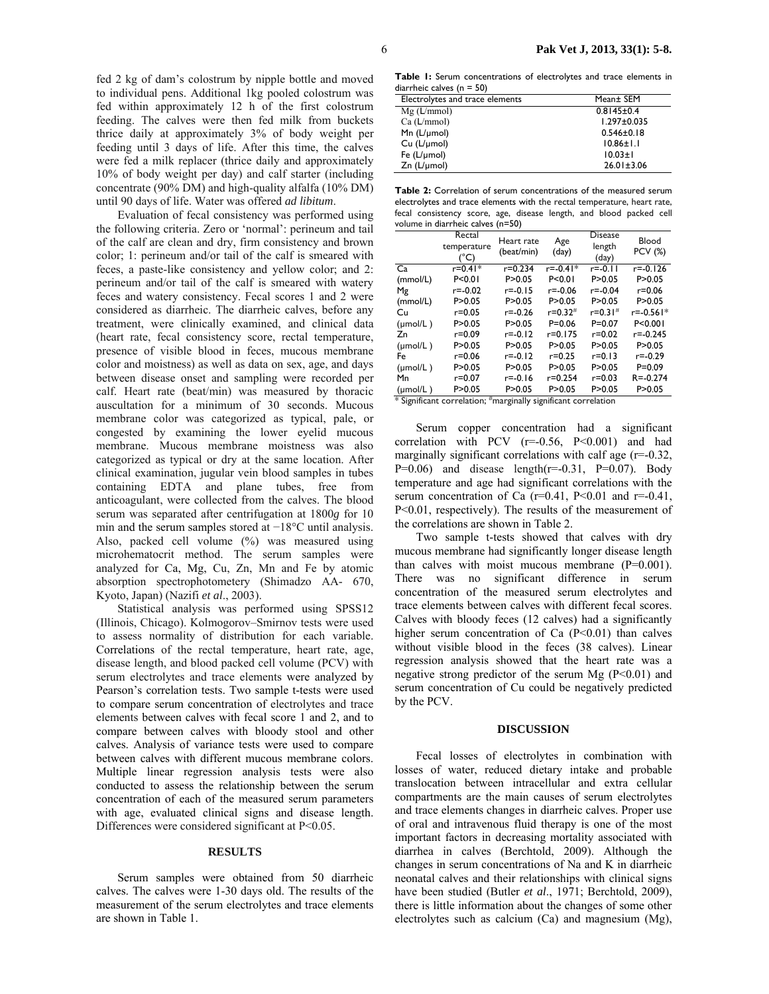fed 2 kg of dam's colostrum by nipple bottle and moved to individual pens. Additional 1kg pooled colostrum was fed within approximately 12 h of the first colostrum feeding. The calves were then fed milk from buckets thrice daily at approximately 3% of body weight per feeding until 3 days of life. After this time, the calves were fed a milk replacer (thrice daily and approximately 10% of body weight per day) and calf starter (including concentrate (90% DM) and high-quality alfalfa (10% DM) until 90 days of life. Water was offered *ad libitum*.

Evaluation of fecal consistency was performed using the following criteria. Zero or 'normal': perineum and tail of the calf are clean and dry, firm consistency and brown color; 1: perineum and/or tail of the calf is smeared with feces, a paste-like consistency and yellow color; and 2: perineum and/or tail of the calf is smeared with watery feces and watery consistency. Fecal scores 1 and 2 were considered as diarrheic. The diarrheic calves, before any treatment, were clinically examined, and clinical data (heart rate, fecal consistency score, rectal temperature, presence of visible blood in feces, mucous membrane color and moistness) as well as data on sex, age, and days between disease onset and sampling were recorded per calf. Heart rate (beat/min) was measured by thoracic auscultation for a minimum of 30 seconds. Mucous membrane color was categorized as typical, pale, or congested by examining the lower eyelid mucous membrane. Mucous membrane moistness was also categorized as typical or dry at the same location. After clinical examination, jugular vein blood samples in tubes containing EDTA and plane tubes, free from anticoagulant, were collected from the calves. The blood serum was separated after centrifugation at 1800*g* for 10 min and the serum samples stored at −18°C until analysis. Also, packed cell volume (%) was measured using microhematocrit method. The serum samples were analyzed for Ca, Mg, Cu, Zn, Mn and Fe by atomic absorption spectrophotometery (Shimadzo AA- 670, Kyoto, Japan) (Nazifi *et al*., 2003).

Statistical analysis was performed using SPSS12 (Illinois, Chicago). Kolmogorov–Smirnov tests were used to assess normality of distribution for each variable. Correlations of the rectal temperature, heart rate, age, disease length, and blood packed cell volume (PCV) with serum electrolytes and trace elements were analyzed by Pearson's correlation tests. Two sample t-tests were used to compare serum concentration of electrolytes and trace elements between calves with fecal score 1 and 2, and to compare between calves with bloody stool and other calves. Analysis of variance tests were used to compare between calves with different mucous membrane colors. Multiple linear regression analysis tests were also conducted to assess the relationship between the serum concentration of each of the measured serum parameters with age, evaluated clinical signs and disease length. Differences were considered significant at P<0.05.

#### **RESULTS**

Serum samples were obtained from 50 diarrheic calves. The calves were 1-30 days old. The results of the measurement of the serum electrolytes and trace elements are shown in Table 1.

**Table 1:** Serum concentrations of electrolytes and trace elements in diarrheic calves (n = 50)

| Electrolytes and trace elements | Mean± SEM         |  |  |
|---------------------------------|-------------------|--|--|
| $Mg$ (L/mmol)                   | $0.8145 \pm 0.4$  |  |  |
| Ca (L/mmol)                     | $1.297 \pm 0.035$ |  |  |
| Mn $(L/\mu mol)$                | $0.546 \pm 0.18$  |  |  |
| $Cu (L/\mu mol)$                | $10.86 \pm 1.1$   |  |  |
| Fe $(L/\mu$ mol)                | $10.03 \pm 1$     |  |  |
| $Zn$ ( $L/\mu$ mol)             | $26.01 \pm 3.06$  |  |  |

**Table 2:** Correlation of serum concentrations of the measured serum electrolytes and trace elements with the rectal temperature, heart rate, fecal consistency score, age, disease length, and blood packed cell volume in diarrheic calves (n=50)

|                      | Rectal<br>temperature<br>(°C)                                          | Heart rate<br>(beat/min) | Age<br>(day)   | <b>Disease</b><br>length<br>(day) | Blood<br><b>PCV (%)</b> |
|----------------------|------------------------------------------------------------------------|--------------------------|----------------|-----------------------------------|-------------------------|
| Ca                   | $r = 0.41*$                                                            | $r = 0.234$              | $r = -0.41*$   | r=-0.11                           | $r = -0.126$            |
| (mmol/L)             | P < 0.01                                                               | P > 0.05                 | P < 0.01       | P > 0.05                          | P > 0.05                |
| Μg                   | $r = -0.02$                                                            | r=-0.15                  | $r = -0.06$    | r=-0.04                           | r=0.06                  |
| (mmol/L)             | P > 0.05                                                               | P > 0.05                 | P > 0.05       | P > 0.05                          | P > 0.05                |
| Cu                   | r=0.05                                                                 | $r = -0.26$              | $r = 0.32^{#}$ | $r = 0.31$ #                      | r=-0.561*               |
| $(\mu \text{mol/L})$ | P > 0.05                                                               | P > 0.05                 | $P = 0.06$     | $P = 0.07$                        | P < 0.001               |
| Zn                   | r=0.09                                                                 | $r = -0.12$              | $r = 0.175$    | $r = 0.02$                        | $r = -0.245$            |
| $(\mu \text{mol/L})$ | P > 0.05                                                               | P>0.05                   | P > 0.05       | P > 0.05                          | P>0.05                  |
| Fe                   | r=0.06                                                                 | $r = -0.12$              | r=0.25         | r=0.13                            | r=-0.29                 |
| $(\mu \text{mol/L})$ | P > 0.05                                                               | P > 0.05                 | P > 0.05       | P > 0.05                          | $P = 0.09$              |
| Mn                   | r=0.07                                                                 | $r = -0.16$              | $r = 0.254$    | r=0.03                            | $R = -0.274$            |
| $(\mu \text{mol/L})$ | P > 0.05<br>* Cincificate acqualation: #propriedly.cimet@acqualation.c | P>0.05                   | P > 0.05       | P > 0.05                          | P > 0.05                |

\* Significant correlation; # marginally significant correlation

Serum copper concentration had a significant correlation with PCV  $(r=-0.56, P<0.001)$  and had marginally significant correlations with calf age (r=-0.32,  $P=0.06$ ) and disease length( $r=-0.31$ ,  $P=0.07$ ). Body temperature and age had significant correlations with the serum concentration of Ca  $(r=0.41, P<0.01$  and  $r=-0.41$ , P<0.01, respectively). The results of the measurement of the correlations are shown in Table 2.

Two sample t-tests showed that calves with dry mucous membrane had significantly longer disease length than calves with moist mucous membrane  $(P=0.001)$ . There was no significant difference in serum concentration of the measured serum electrolytes and trace elements between calves with different fecal scores. Calves with bloody feces (12 calves) had a significantly higher serum concentration of Ca  $(P<0.01)$  than calves without visible blood in the feces (38 calves). Linear regression analysis showed that the heart rate was a negative strong predictor of the serum Mg (P<0.01) and serum concentration of Cu could be negatively predicted by the PCV.

#### **DISCUSSION**

Fecal losses of electrolytes in combination with losses of water, reduced dietary intake and probable translocation between intracellular and extra cellular compartments are the main causes of serum electrolytes and trace elements changes in diarrheic calves. Proper use of oral and intravenous fluid therapy is one of the most important factors in decreasing mortality associated with diarrhea in calves (Berchtold, 2009). Although the changes in serum concentrations of Na and K in diarrheic neonatal calves and their relationships with clinical signs have been studied (Butler *et al*., 1971; Berchtold, 2009), there is little information about the changes of some other electrolytes such as calcium (Ca) and magnesium (Mg),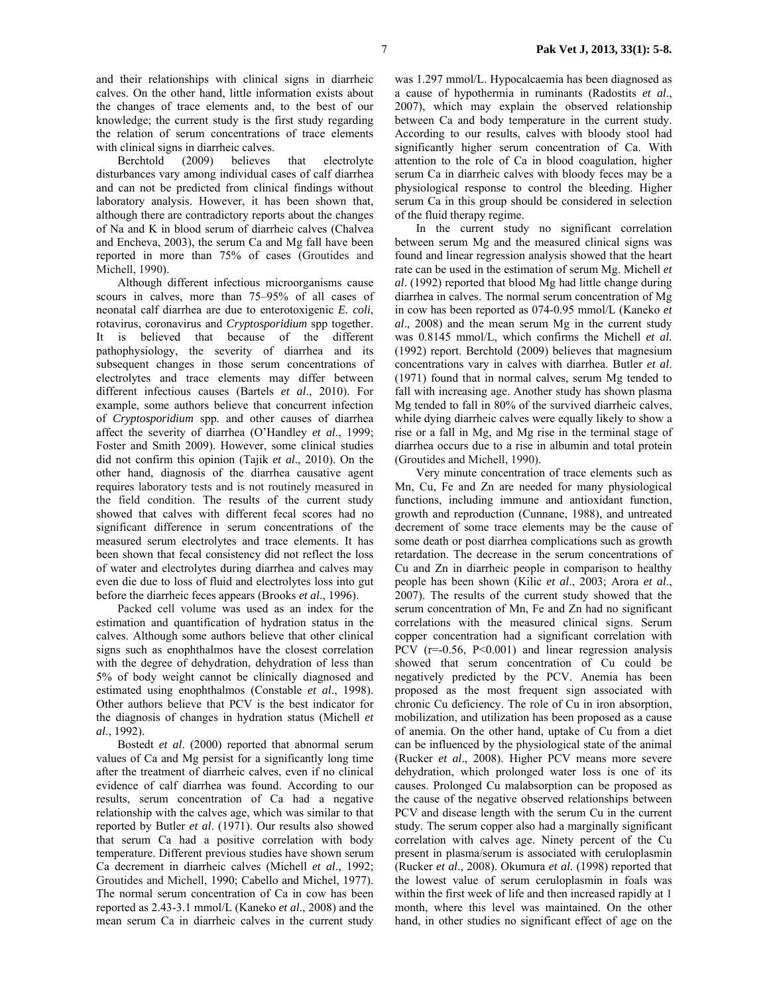and their relationships with clinical signs in diarrheic calves. On the other hand, little information exists about the changes of trace elements and, to the best of our knowledge; the current study is the first study regarding the relation of serum concentrations of trace elements with clinical signs in diarrheic calves.

Berchtold (2009) believes that electrolyte disturbances vary among individual cases of calf diarrhea and can not be predicted from clinical findings without laboratory analysis. However, it has been shown that, although there are contradictory reports about the changes of Na and K in blood serum of diarrheic calves (Chalvea and Encheva, 2003), the serum Ca and Mg fall have been reported in more than 75% of cases (Groutides and Michell, 1990).

Although different infectious microorganisms cause scours in calves, more than 75–95% of all cases of neonatal calf diarrhea are due to enterotoxigenic *E. coli*, rotavirus, coronavirus and *Cryptosporidium* spp together. It is believed that because of the different pathophysiology, the severity of diarrhea and its subsequent changes in those serum concentrations of electrolytes and trace elements may differ between different infectious causes (Bartels *et al*., 2010). For example, some authors believe that concurrent infection of *Cryptosporidium* spp. and other causes of diarrhea affect the severity of diarrhea (O'Handley *et al*., 1999; Foster and Smith 2009). However, some clinical studies did not confirm this opinion (Tajik *et al*., 2010). On the other hand, diagnosis of the diarrhea causative agent requires laboratory tests and is not routinely measured in the field condition. The results of the current study showed that calves with different fecal scores had no significant difference in serum concentrations of the measured serum electrolytes and trace elements. It has been shown that fecal consistency did not reflect the loss of water and electrolytes during diarrhea and calves may even die due to loss of fluid and electrolytes loss into gut before the diarrheic feces appears (Brooks *et al*., 1996).

Packed cell volume was used as an index for the estimation and quantification of hydration status in the calves. Although some authors believe that other clinical signs such as enophthalmos have the closest correlation with the degree of dehydration, dehydration of less than 5% of body weight cannot be clinically diagnosed and estimated using enophthalmos (Constable *et al*., 1998). Other authors believe that PCV is the best indicator for the diagnosis of changes in hydration status (Michell *et al*., 1992).

Bostedt *et al*. (2000) reported that abnormal serum values of Ca and Mg persist for a significantly long time after the treatment of diarrheic calves, even if no clinical evidence of calf diarrhea was found. According to our results, serum concentration of Ca had a negative relationship with the calves age, which was similar to that reported by Butler *et al*. (1971). Our results also showed that serum Ca had a positive correlation with body temperature. Different previous studies have shown serum Ca decrement in diarrheic calves (Michell *et al*., 1992; Groutides and Michell, 1990; Cabello and Michel, 1977). The normal serum concentration of Ca in cow has been reported as 2.43-3.1 mmol/L (Kaneko *et al*., 2008) and the mean serum Ca in diarrheic calves in the current study

was 1.297 mmol/L. Hypocalcaemia has been diagnosed as a cause of hypothermia in ruminants (Radostits *et al*., 2007), which may explain the observed relationship between Ca and body temperature in the current study. According to our results, calves with bloody stool had significantly higher serum concentration of Ca. With attention to the role of Ca in blood coagulation, higher serum Ca in diarrheic calves with bloody feces may be a physiological response to control the bleeding. Higher serum Ca in this group should be considered in selection of the fluid therapy regime.

In the current study no significant correlation between serum Mg and the measured clinical signs was found and linear regression analysis showed that the heart rate can be used in the estimation of serum Mg. Michell *et al*. (1992) reported that blood Mg had little change during diarrhea in calves. The normal serum concentration of Mg in cow has been reported as 074-0.95 mmol/L (Kaneko *et al*., 2008) and the mean serum Mg in the current study was 0.8145 mmol/L, which confirms the Michell *et al.*  (1992) report. Berchtold (2009) believes that magnesium concentrations vary in calves with diarrhea. Butler *et al*. (1971) found that in normal calves, serum Mg tended to fall with increasing age. Another study has shown plasma Mg tended to fall in 80% of the survived diarrheic calves, while dying diarrheic calves were equally likely to show a rise or a fall in Mg, and Mg rise in the terminal stage of diarrhea occurs due to a rise in albumin and total protein (Groutides and Michell, 1990).

Very minute concentration of trace elements such as Mn, Cu, Fe and Zn are needed for many physiological functions, including immune and antioxidant function, growth and reproduction (Cunnane, 1988), and untreated decrement of some trace elements may be the cause of some death or post diarrhea complications such as growth retardation. The decrease in the serum concentrations of Cu and Zn in diarrheic people in comparison to healthy people has been shown (Kilic *et al*., 2003; Arora *et al*., 2007). The results of the current study showed that the serum concentration of Mn, Fe and Zn had no significant correlations with the measured clinical signs. Serum copper concentration had a significant correlation with PCV  $(r=-0.56, P<0.001)$  and linear regression analysis showed that serum concentration of Cu could be negatively predicted by the PCV. Anemia has been proposed as the most frequent sign associated with chronic Cu deficiency. The role of Cu in iron absorption, mobilization, and utilization has been proposed as a cause of anemia. On the other hand, uptake of Cu from a diet can be influenced by the physiological state of the animal (Rucker *et al*., 2008). Higher PCV means more severe dehydration, which prolonged water loss is one of its causes. Prolonged Cu malabsorption can be proposed as the cause of the negative observed relationships between PCV and disease length with the serum Cu in the current study. The serum copper also had a marginally significant correlation with calves age. Ninety percent of the Cu present in plasma/serum is associated with ceruloplasmin (Rucker *et al*., 2008). Okumura *et al*. (1998) reported that the lowest value of serum ceruloplasmin in foals was within the first week of life and then increased rapidly at 1 month, where this level was maintained. On the other hand, in other studies no significant effect of age on the